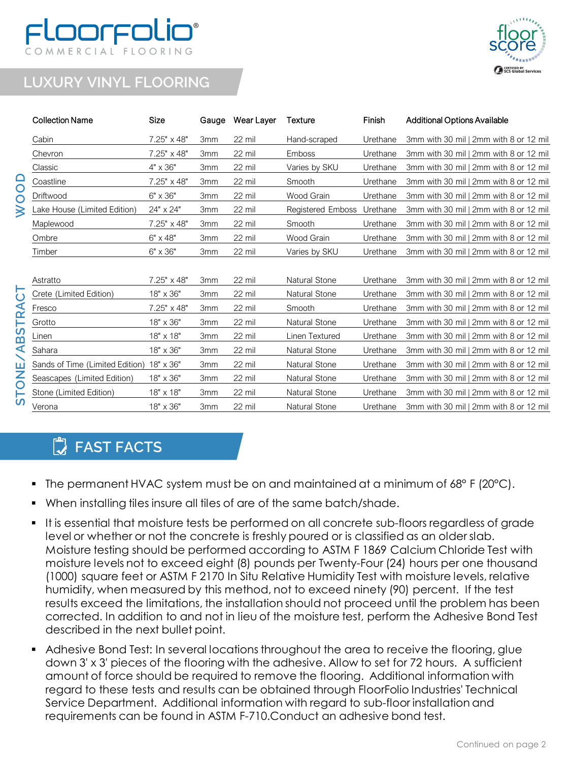## DOFFO COMMERCIAL FLOORING



## **LUXURY VINYL FLOORING**

**WOOD**

**STONE/ABSTRACT** 

|                                                | <b>Collection Name</b>          | Size               | Gauge           | Wear Layer | Texture           | Finish   | <b>Additional Options Available</b>    |
|------------------------------------------------|---------------------------------|--------------------|-----------------|------------|-------------------|----------|----------------------------------------|
|                                                | Cabin                           | 7.25" x 48"        | 3 <sub>mm</sub> | 22 mil     | Hand-scraped      | Urethane | 3mm with 30 mil   2mm with 8 or 12 mil |
| O                                              | Chevron                         | $7.25" \times 48"$ | 3 <sub>mm</sub> | 22 mil     | Emboss            | Urethane | 3mm with 30 mil   2mm with 8 or 12 mil |
|                                                | Classic                         | 4" x 36"           | 3mm             | 22 mil     | Varies by SKU     | Urethane | 3mm with 30 mil   2mm with 8 or 12 mil |
|                                                | Coastline                       | 7.25" x 48"        | 3 <sub>mm</sub> | 22 mil     | Smooth            | Urethane | 3mm with 30 mil   2mm with 8 or 12 mil |
|                                                | Driftwood                       | 6" x 36"           | 3 <sub>mm</sub> | 22 mil     | Wood Grain        | Urethane | 3mm with 30 mil I 2mm with 8 or 12 mil |
|                                                | Lake House (Limited Edition)    | 24" x 24"          | 3 <sub>mm</sub> | 22 mil     | Registered Emboss | Urethane | 3mm with 30 mil   2mm with 8 or 12 mil |
|                                                | Maplewood                       | 7.25" x 48"        | 3mm             | 22 mil     | Smooth            | Urethane | 3mm with 30 mil   2mm with 8 or 12 mil |
|                                                | Ombre                           | $6" \times 48"$    | 3 <sub>mm</sub> | 22 mil     | Wood Grain        | Urethane | 3mm with 30 mil   2mm with 8 or 12 mil |
|                                                | Timber                          | 6" x 36"           | 3 <sub>mm</sub> | 22 mil     | Varies by SKU     | Urethane | 3mm with 30 mil   2mm with 8 or 12 mil |
|                                                |                                 |                    |                 |            |                   |          |                                        |
| ี<br>∩⁄<br><u>ເ</u><br>∢<br>ш<br>$\frac{1}{2}$ | Astratto                        | $7.25" \times 48"$ | 3 <sub>mm</sub> | 22 mil     | Natural Stone     | Urethane | 3mm with 30 mil   2mm with 8 or 12 mil |
|                                                | Crete (Limited Edition)         | 18" x 36"          | 3mm             | 22 mil     | Natural Stone     | Urethane | 3mm with 30 mil   2mm with 8 or 12 mil |
|                                                | Fresco                          | 7.25" x 48"        | 3 <sub>mm</sub> | 22 mil     | Smooth            | Urethane | 3mm with 30 mil   2mm with 8 or 12 mil |
|                                                | Grotto                          | 18" x 36"          | 3 <sub>mm</sub> | 22 mil     | Natural Stone     | Urethane | 3mm with 30 mil   2mm with 8 or 12 mil |
|                                                | Linen                           | 18" x 18"          | 3 <sub>mm</sub> | 22 mil     | Linen Textured    | Urethane | 3mm with 30 mil   2mm with 8 or 12 mil |
|                                                | Sahara                          | 18" x 36"          | 3mm             | 22 mil     | Natural Stone     | Urethane | 3mm with 30 mil   2mm with 8 or 12 mil |
|                                                | Sands of Time (Limited Edition) | 18" x 36"          | 3mm             | 22 mil     | Natural Stone     | Urethane | 3mm with 30 mil   2mm with 8 or 12 mil |
|                                                | Seascapes (Limited Edition)     | $18" \times 36"$   | 3mm             | 22 mil     | Natural Stone     | Urethane | 3mm with 30 mil   2mm with 8 or 12 mil |
|                                                | Stone (Limited Edition)         | $18" \times 18"$   | 3mm             | 22 mil     | Natural Stone     | Urethane | 3mm with 30 mil   2mm with 8 or 12 mil |
| w                                              | Verona                          | 18" x 36"          | 3 <sub>mm</sub> | 22 mil     | Natural Stone     | Urethane | 3mm with 30 mil   2mm with 8 or 12 mil |
|                                                |                                 |                    |                 |            |                   |          |                                        |

## **FAST FACTS**

- The permanent HVAC system must be on and maintained at a minimum of  $68^{\circ}$  F (20 $^{\circ}$ C).
- When installing tiles insure all tiles of are of the same batch/shade.
- It is essential that moisture tests be performed on all concrete sub-floors regardless of grade level or whether or not the concrete is freshly poured or is classified as an older slab. Moisture testing should be performed according to ASTM F 1869 Calcium Chloride Test with moisture levels not to exceed eight (8) pounds per Twenty-Four (24) hours per one thousand (1000) square feet or ASTM F 2170 In Situ Relative Humidity Test with moisture levels, relative humidity, when measured by this method, not to exceed ninety (90) percent. If the test results exceed the limitations, the installation should not proceed until the problem has been corrected. In addition to and not in lieu of the moisture test, perform the Adhesive Bond Test described in the next bullet point.
- Adhesive Bond Test: In several locations throughout the area to receive the flooring, glue down 3' x 3' pieces of the flooring with the adhesive. Allow to set for 72 hours. A sufficient amount of force should be required to remove the flooring. Additional information with regard to these tests and results can be obtained through FloorFolio Industries' Technical Service Department. Additional information with regard to sub-floor installation and requirements can be found in ASTM F-710.Conduct an adhesive bond test.